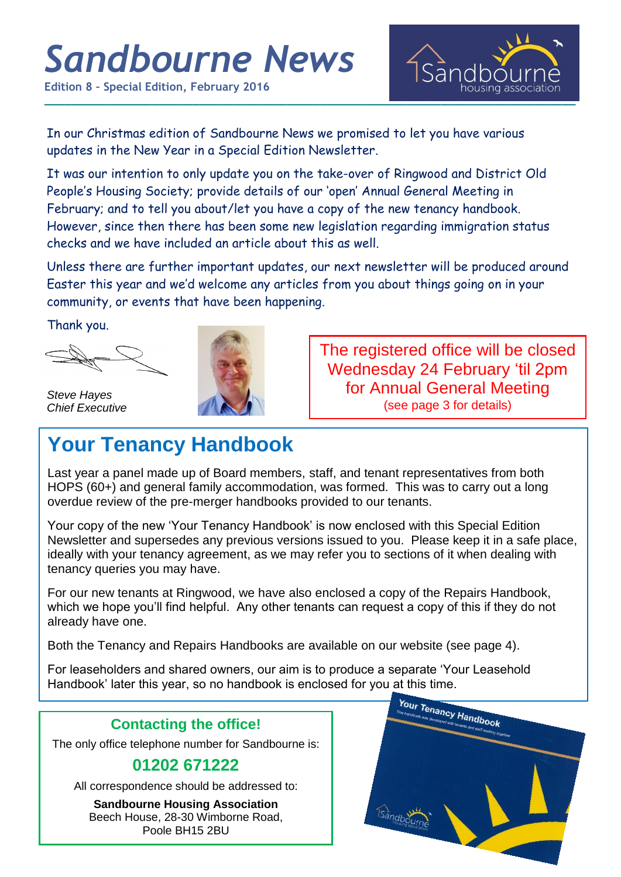# *Sandbourne News*

**Edition 8 – Special Edition, February 2016**



In our Christmas edition of Sandbourne News we promised to let you have various updates in the New Year in a Special Edition Newsletter.

It was our intention to only update you on the take-over of Ringwood and District Old People's Housing Society; provide details of our 'open' Annual General Meeting in February; and to tell you about/let you have a copy of the new tenancy handbook. However, since then there has been some new legislation regarding immigration status checks and we have included an article about this as well.

Unless there are further important updates, our next newsletter will be produced around Easter this year and we'd welcome any articles from you about things going on in your community, or events that have been happening.

Thank you.



*Steve Hayes Chief Executive*



The registered office will be closed Wednesday 24 February 'til 2pm for Annual General Meeting (see page 3 for details)

# **Your Tenancy Handbook**

Last year a panel made up of Board members, staff, and tenant representatives from both HOPS (60+) and general family accommodation, was formed. This was to carry out a long overdue review of the pre-merger handbooks provided to our tenants.

Your copy of the new 'Your Tenancy Handbook' is now enclosed with this Special Edition Newsletter and supersedes any previous versions issued to you. Please keep it in a safe place, ideally with your tenancy agreement, as we may refer you to sections of it when dealing with tenancy queries you may have.

For our new tenants at Ringwood, we have also enclosed a copy of the Repairs Handbook, which we hope you'll find helpful. Any other tenants can request a copy of this if they do not already have one.

Both the Tenancy and Repairs Handbooks are available on our website (see page 4).

For leaseholders and shared owners, our aim is to produce a separate 'Your Leasehold Handbook' later this year, so no handbook is enclosed for you at this time.

### **Contacting the office!**

The only office telephone number for Sandbourne is:

## **01202 671222**

All correspondence should be addressed to:

**Sandbourne Housing Association** Beech House, 28-30 Wimborne Road, Poole BH15 2BU

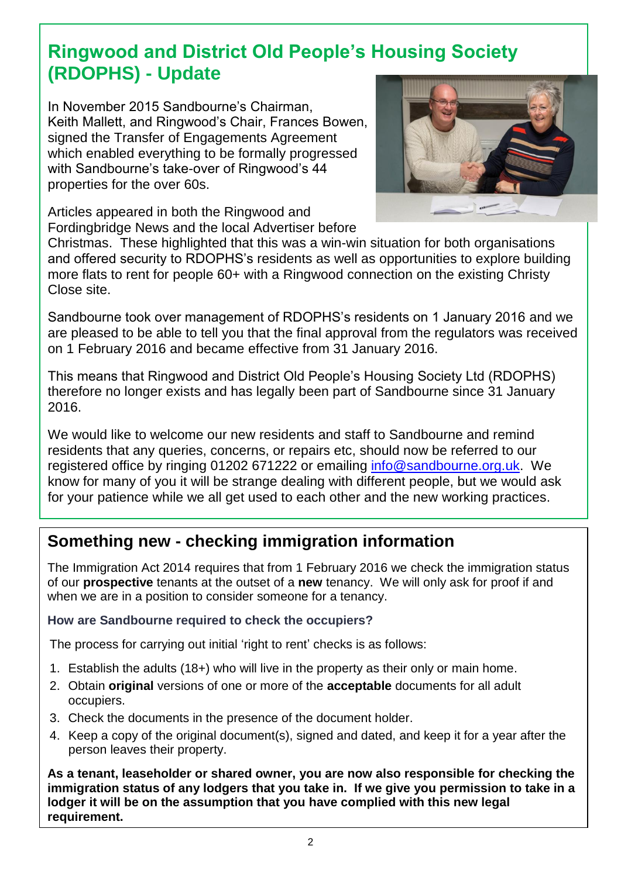# **Ringwood and District Old People's Housing Society (RDOPHS) - Update**

In November 2015 Sandbourne's Chairman, Keith Mallett, and Ringwood's Chair, Frances Bowen, signed the Transfer of Engagements Agreement which enabled everything to be formally progressed with Sandbourne's take-over of Ringwood's 44 properties for the over 60s.



Articles appeared in both the Ringwood and Fordingbridge News and the local Advertiser before

Christmas. These highlighted that this was a win-win situation for both organisations and offered security to RDOPHS's residents as well as opportunities to explore building more flats to rent for people 60+ with a Ringwood connection on the existing Christy Close site.

Sandbourne took over management of RDOPHS's residents on 1 January 2016 and we are pleased to be able to tell you that the final approval from the regulators was received on 1 February 2016 and became effective from 31 January 2016.

This means that Ringwood and District Old People's Housing Society Ltd (RDOPHS) therefore no longer exists and has legally been part of Sandbourne since 31 January 2016.

We would like to welcome our new residents and staff to Sandbourne and remind residents that any queries, concerns, or repairs etc, should now be referred to our registered office by ringing 01202 671222 or emailing [info@sandbourne.org.uk.](mailto:info@sandbourne.org.uk) We know for many of you it will be strange dealing with different people, but we would ask for your patience while we all get used to each other and the new working practices.

## **Something new - checking immigration information**

The Immigration Act 2014 requires that from 1 February 2016 we check the immigration status of our **prospective** tenants at the outset of a **new** tenancy. We will only ask for proof if and when we are in a position to consider someone for a tenancy.

#### **How are Sandbourne required to check the occupiers?**

The process for carrying out initial 'right to rent' checks is as follows:

- 1. Establish the adults (18+) who will live in the property as their only or main home.
- 2. Obtain **original** versions of one or more of the **acceptable** documents for all adult occupiers.
- 3. Check the documents in the presence of the document holder.
- 4. Keep a copy of the original document(s), signed and dated, and keep it for a year after the person leaves their property.

**As a tenant, leaseholder or shared owner, you are now also responsible for checking the immigration status of any lodgers that you take in. If we give you permission to take in a lodger it will be on the assumption that you have complied with this new legal requirement.**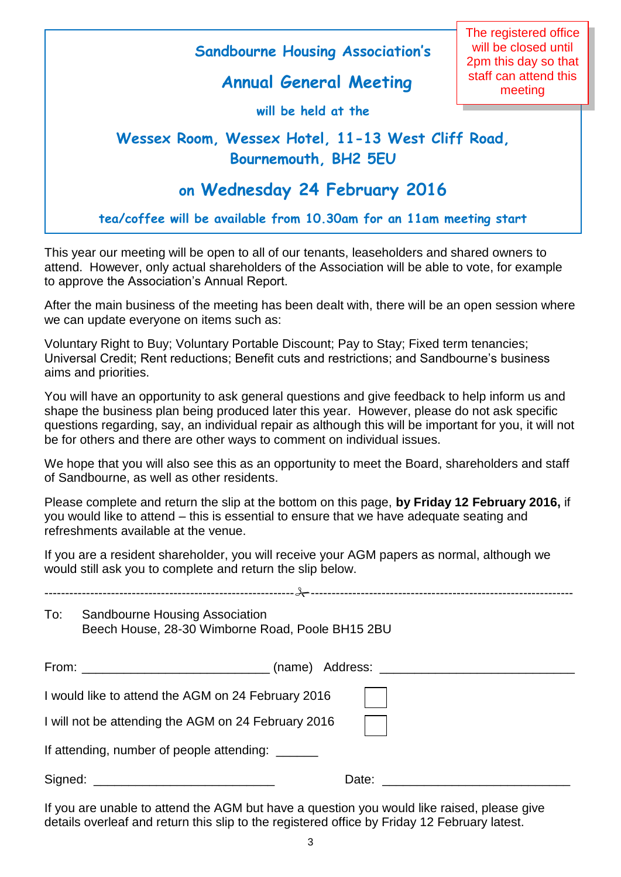

This year our meeting will be open to all of our tenants, leaseholders and shared owners to attend. However, only actual shareholders of the Association will be able to vote, for example to approve the Association's Annual Report.

After the main business of the meeting has been dealt with, there will be an open session where we can update everyone on items such as:

Voluntary Right to Buy; Voluntary Portable Discount; Pay to Stay; Fixed term tenancies; Universal Credit; Rent reductions; Benefit cuts and restrictions; and Sandbourne's business aims and priorities.

You will have an opportunity to ask general questions and give feedback to help inform us and shape the business plan being produced later this year. However, please do not ask specific questions regarding, say, an individual repair as although this will be important for you, it will not be for others and there are other ways to comment on individual issues.

We hope that you will also see this as an opportunity to meet the Board, shareholders and staff of Sandbourne, as well as other residents.

Please complete and return the slip at the bottom on this page, **by Friday 12 February 2016,** if you would like to attend – this is essential to ensure that we have adequate seating and refreshments available at the venue.

If you are a resident shareholder, you will receive your AGM papers as normal, although we would still ask you to complete and return the slip below.

| To:                                                 | Sandbourne Housing Association<br>Beech House, 28-30 Wimborne Road, Poole BH15 2BU                                   |       |
|-----------------------------------------------------|----------------------------------------------------------------------------------------------------------------------|-------|
|                                                     | From: __________________________________(name) Address: ________________________                                     |       |
|                                                     | I would like to attend the AGM on 24 February 2016                                                                   |       |
| I will not be attending the AGM on 24 February 2016 |                                                                                                                      |       |
|                                                     | If attending, number of people attending: ______                                                                     |       |
| Signed:                                             | <u> 2000 - Jan James James Barbara, martxa a shekara 1980 - 1980 - 1980 - 1980 - 1980 - 1980 - 1980 - 1980 - 198</u> | Date: |

If you are unable to attend the AGM but have a question you would like raised, please give details overleaf and return this slip to the registered office by Friday 12 February latest.